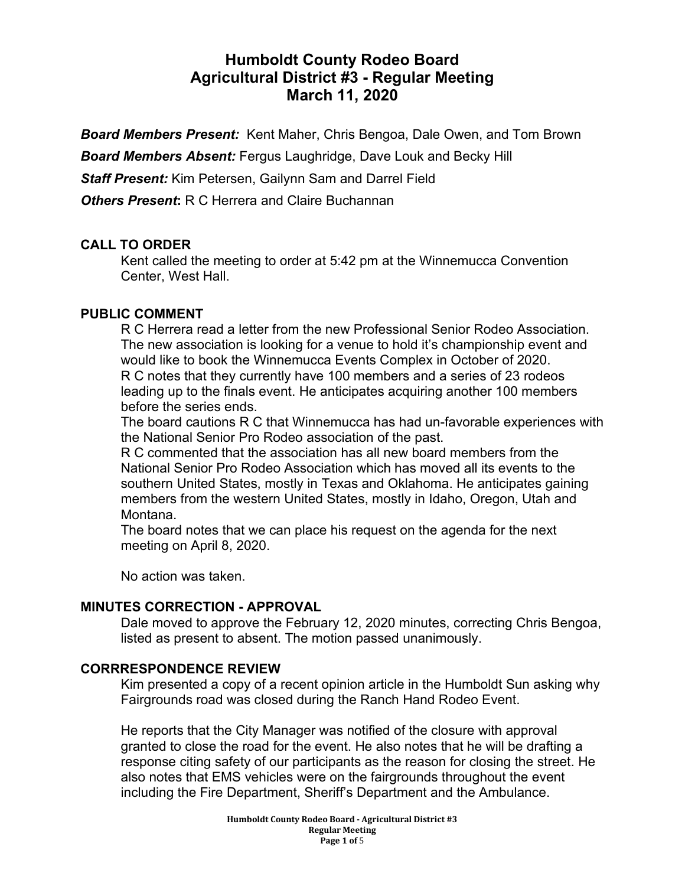# **Humboldt County Rodeo Board Agricultural District #3 - Regular Meeting March 11, 2020**

*Board Members Present:* Kent Maher, Chris Bengoa, Dale Owen, and Tom Brown

*Board Members Absent:* Fergus Laughridge, Dave Louk and Becky Hill

*Staff Present:* Kim Petersen, Gailynn Sam and Darrel Field

*Others Present***:** R C Herrera and Claire Buchannan

### **CALL TO ORDER**

Kent called the meeting to order at 5:42 pm at the Winnemucca Convention Center, West Hall.

#### **PUBLIC COMMENT**

R C Herrera read a letter from the new Professional Senior Rodeo Association. The new association is looking for a venue to hold it's championship event and would like to book the Winnemucca Events Complex in October of 2020. R C notes that they currently have 100 members and a series of 23 rodeos leading up to the finals event. He anticipates acquiring another 100 members before the series ends.

The board cautions R C that Winnemucca has had un-favorable experiences with the National Senior Pro Rodeo association of the past.

R C commented that the association has all new board members from the National Senior Pro Rodeo Association which has moved all its events to the southern United States, mostly in Texas and Oklahoma. He anticipates gaining members from the western United States, mostly in Idaho, Oregon, Utah and Montana.

The board notes that we can place his request on the agenda for the next meeting on April 8, 2020.

No action was taken.

### **MINUTES CORRECTION - APPROVAL**

Dale moved to approve the February 12, 2020 minutes, correcting Chris Bengoa, listed as present to absent. The motion passed unanimously.

### **CORRRESPONDENCE REVIEW**

Kim presented a copy of a recent opinion article in the Humboldt Sun asking why Fairgrounds road was closed during the Ranch Hand Rodeo Event.

He reports that the City Manager was notified of the closure with approval granted to close the road for the event. He also notes that he will be drafting a response citing safety of our participants as the reason for closing the street. He also notes that EMS vehicles were on the fairgrounds throughout the event including the Fire Department, Sheriff's Department and the Ambulance.

> **Humboldt County Rodeo Board - Agricultural District #3 Regular Meeting Page 1 of** 5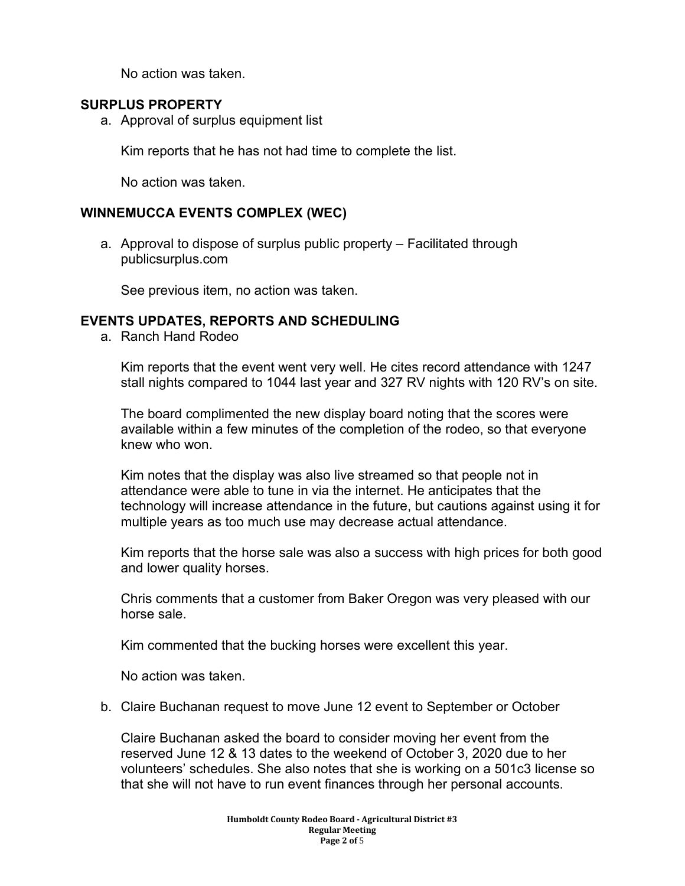No action was taken.

### **SURPLUS PROPERTY**

a. Approval of surplus equipment list

Kim reports that he has not had time to complete the list.

No action was taken.

### **WINNEMUCCA EVENTS COMPLEX (WEC)**

a. Approval to dispose of surplus public property – Facilitated through publicsurplus.com

See previous item, no action was taken.

### **EVENTS UPDATES, REPORTS AND SCHEDULING**

a. Ranch Hand Rodeo

Kim reports that the event went very well. He cites record attendance with 1247 stall nights compared to 1044 last year and 327 RV nights with 120 RV's on site.

The board complimented the new display board noting that the scores were available within a few minutes of the completion of the rodeo, so that everyone knew who won.

Kim notes that the display was also live streamed so that people not in attendance were able to tune in via the internet. He anticipates that the technology will increase attendance in the future, but cautions against using it for multiple years as too much use may decrease actual attendance.

Kim reports that the horse sale was also a success with high prices for both good and lower quality horses.

Chris comments that a customer from Baker Oregon was very pleased with our horse sale.

Kim commented that the bucking horses were excellent this year.

No action was taken.

b. Claire Buchanan request to move June 12 event to September or October

Claire Buchanan asked the board to consider moving her event from the reserved June 12 & 13 dates to the weekend of October 3, 2020 due to her volunteers' schedules. She also notes that she is working on a 501c3 license so that she will not have to run event finances through her personal accounts.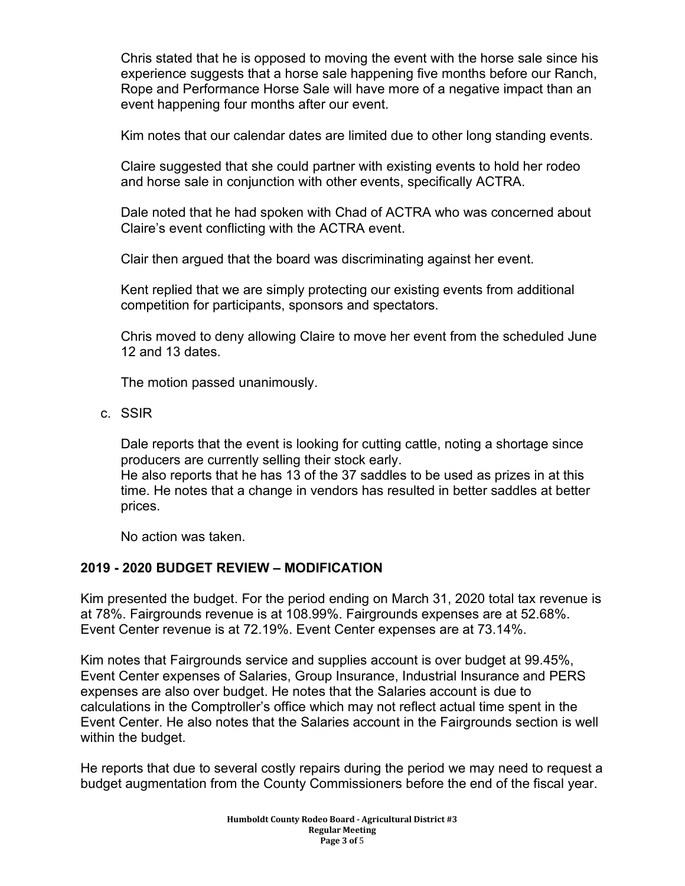Chris stated that he is opposed to moving the event with the horse sale since his experience suggests that a horse sale happening five months before our Ranch, Rope and Performance Horse Sale will have more of a negative impact than an event happening four months after our event.

Kim notes that our calendar dates are limited due to other long standing events.

Claire suggested that she could partner with existing events to hold her rodeo and horse sale in conjunction with other events, specifically ACTRA.

Dale noted that he had spoken with Chad of ACTRA who was concerned about Claire's event conflicting with the ACTRA event.

Clair then argued that the board was discriminating against her event.

Kent replied that we are simply protecting our existing events from additional competition for participants, sponsors and spectators.

Chris moved to deny allowing Claire to move her event from the scheduled June 12 and 13 dates.

The motion passed unanimously.

c. SSIR

Dale reports that the event is looking for cutting cattle, noting a shortage since producers are currently selling their stock early.

He also reports that he has 13 of the 37 saddles to be used as prizes in at this time. He notes that a change in vendors has resulted in better saddles at better prices.

No action was taken.

### **2019 - 2020 BUDGET REVIEW – MODIFICATION**

Kim presented the budget. For the period ending on March 31, 2020 total tax revenue is at 78%. Fairgrounds revenue is at 108.99%. Fairgrounds expenses are at 52.68%. Event Center revenue is at 72.19%. Event Center expenses are at 73.14%.

Kim notes that Fairgrounds service and supplies account is over budget at 99.45%, Event Center expenses of Salaries, Group Insurance, Industrial Insurance and PERS expenses are also over budget. He notes that the Salaries account is due to calculations in the Comptroller's office which may not reflect actual time spent in the Event Center. He also notes that the Salaries account in the Fairgrounds section is well within the budget.

He reports that due to several costly repairs during the period we may need to request a budget augmentation from the County Commissioners before the end of the fiscal year.

> **Humboldt County Rodeo Board - Agricultural District #3 Regular Meeting Page 3 of** 5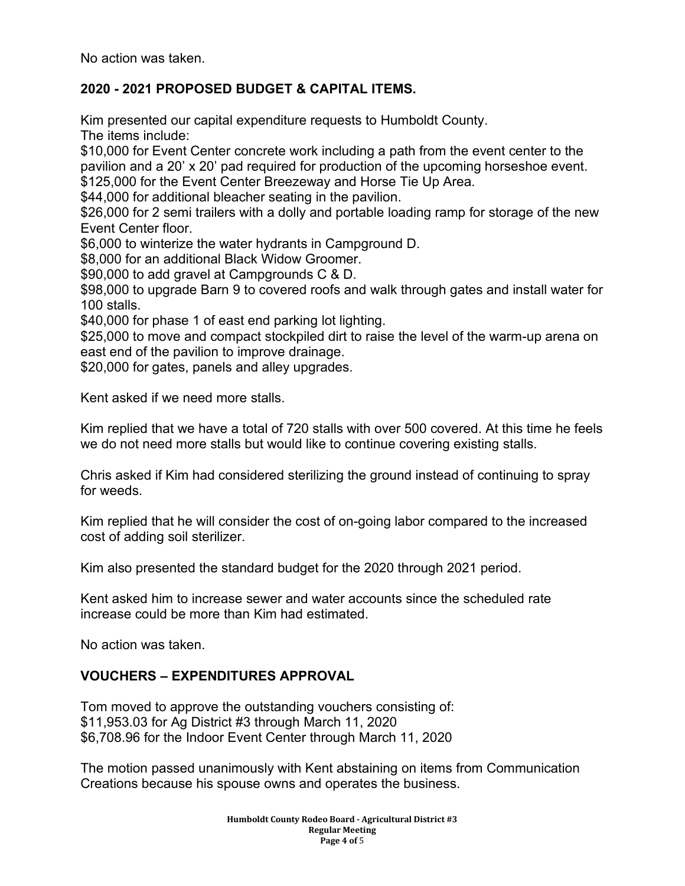No action was taken.

## **2020 - 2021 PROPOSED BUDGET & CAPITAL ITEMS.**

Kim presented our capital expenditure requests to Humboldt County. The items include:

\$10,000 for Event Center concrete work including a path from the event center to the pavilion and a 20' x 20' pad required for production of the upcoming horseshoe event. \$125,000 for the Event Center Breezeway and Horse Tie Up Area.

\$44,000 for additional bleacher seating in the pavilion.

\$26,000 for 2 semi trailers with a dolly and portable loading ramp for storage of the new Event Center floor.

\$6,000 to winterize the water hydrants in Campground D.

\$8,000 for an additional Black Widow Groomer.

\$90,000 to add gravel at Campgrounds C & D.

\$98,000 to upgrade Barn 9 to covered roofs and walk through gates and install water for 100 stalls.

\$40,000 for phase 1 of east end parking lot lighting.

\$25,000 to move and compact stockpiled dirt to raise the level of the warm-up arena on east end of the pavilion to improve drainage.

\$20,000 for gates, panels and alley upgrades.

Kent asked if we need more stalls.

Kim replied that we have a total of 720 stalls with over 500 covered. At this time he feels we do not need more stalls but would like to continue covering existing stalls.

Chris asked if Kim had considered sterilizing the ground instead of continuing to spray for weeds.

Kim replied that he will consider the cost of on-going labor compared to the increased cost of adding soil sterilizer.

Kim also presented the standard budget for the 2020 through 2021 period.

Kent asked him to increase sewer and water accounts since the scheduled rate increase could be more than Kim had estimated.

No action was taken.

# **VOUCHERS – EXPENDITURES APPROVAL**

Tom moved to approve the outstanding vouchers consisting of: \$11,953.03 for Ag District #3 through March 11, 2020 \$6,708.96 for the Indoor Event Center through March 11, 2020

The motion passed unanimously with Kent abstaining on items from Communication Creations because his spouse owns and operates the business.

> **Humboldt County Rodeo Board - Agricultural District #3 Regular Meeting Page 4 of** 5